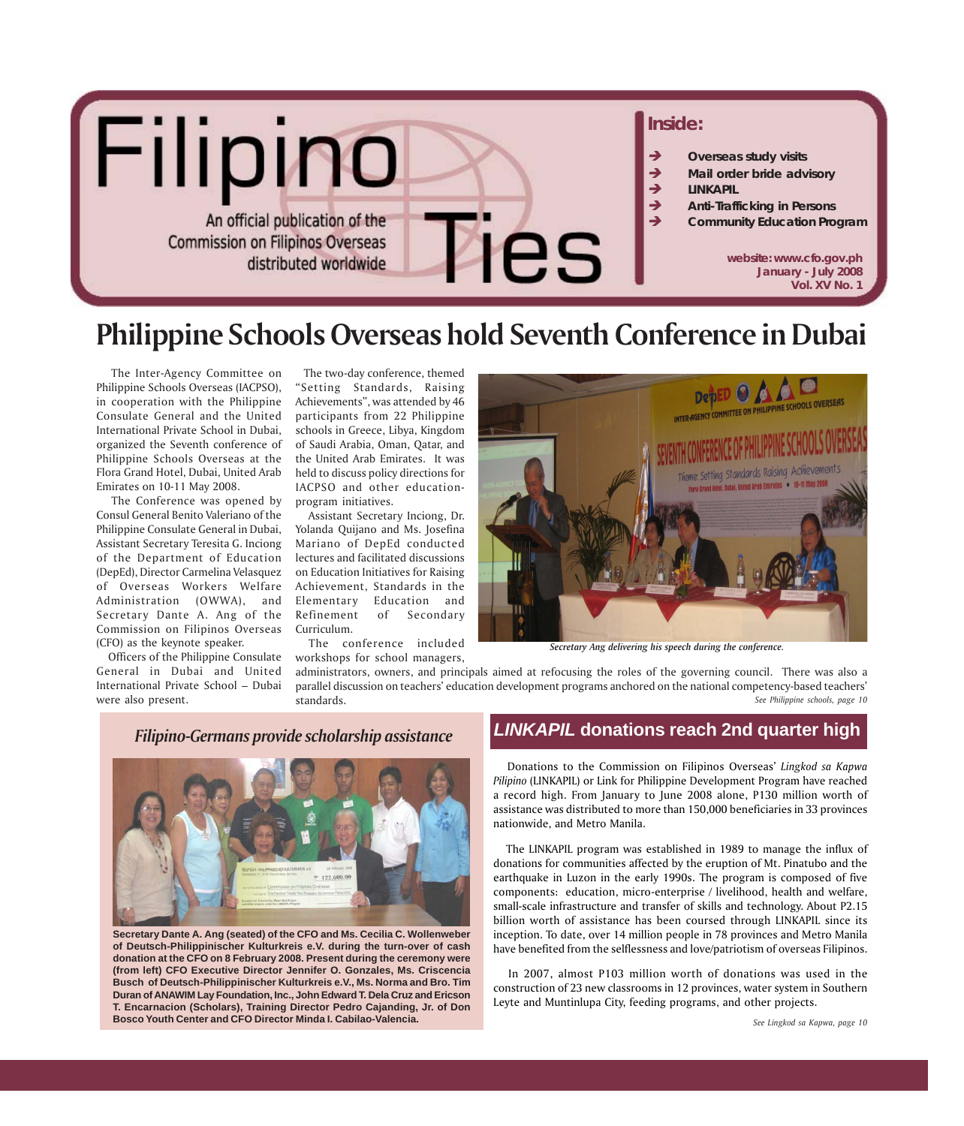

# **Philippine Schools Overseas hold Seventh Conference in Dubai**

 The Inter-Agency Committee on Philippine Schools Overseas (IACPSO), in cooperation with the Philippine Consulate General and the United International Private School in Dubai, organized the Seventh conference of Philippine Schools Overseas at the Flora Grand Hotel, Dubai, United Arab Emirates on 10-11 May 2008.

 The Conference was opened by Consul General Benito Valeriano of the Philippine Consulate General in Dubai, Assistant Secretary Teresita G. Inciong of the Department of Education (DepEd), Director Carmelina Velasquez of Overseas Workers Welfare Administration (OWWA), and Secretary Dante A. Ang of the Commission on Filipinos Overseas (CFO) as the keynote speaker.

 Officers of the Philippine Consulate General in Dubai and United International Private School – Dubai were also present.

 The two-day conference, themed "Setting Standards, Raising Achievements", was attended by 46 participants from 22 Philippine schools in Greece, Libya, Kingdom of Saudi Arabia, Oman, Qatar, and the United Arab Emirates. It was held to discuss policy directions for IACPSO and other educationprogram initiatives.

 Assistant Secretary Inciong, Dr. Yolanda Quijano and Ms. Josefina Mariano of DepEd conducted lectures and facilitated discussions on Education Initiatives for Raising Achievement, Standards in the Elementary Education and Refinement of Secondary Curriculum.

 The conference included workshops for school managers,



*Secretary Ang delivering his speech during the conference.*

administrators, owners, and principals aimed at refocusing the roles of the governing council. There was also a parallel discussion on teachers' education development programs anchored on the national competency-based teachers' standards. *See Philippine schools, page 10*

### *Filipino-Germans provide scholarship assistance*



**Secretary Dante A. Ang (seated) of the CFO and Ms. Cecilia C. Wollenweber of Deutsch-Philippinischer Kulturkreis e.V. during the turn-over of cash donation at the CFO on 8 February 2008. Present during the ceremony were (from left) CFO Executive Director Jennifer O. Gonzales, Ms. Criscencia Busch of Deutsch-Philippinischer Kulturkreis e.V., Ms. Norma and Bro. Tim Duran of ANAWIM Lay Foundation, Inc., John Edward T. Dela Cruz and Ericson T. Encarnacion (Scholars), Training Director Pedro Cajanding, Jr. of Don Bosco Youth Center and CFO Director Minda I. Cabilao-Valencia.**

## *LINKAPIL* **donations reach 2nd quarter high**

 Donations to the Commission on Filipinos Overseas' *Lingkod sa Kapwa Pilipino* (LINKAPIL) or Link for Philippine Development Program have reached a record high. From January to June 2008 alone, P130 million worth of assistance was distributed to more than 150,000 beneficiaries in 33 provinces nationwide, and Metro Manila.

 The LINKAPIL program was established in 1989 to manage the influx of donations for communities affected by the eruption of Mt. Pinatubo and the earthquake in Luzon in the early 1990s. The program is composed of five components: education, micro-enterprise / livelihood, health and welfare, small-scale infrastructure and transfer of skills and technology. About P2.15 billion worth of assistance has been coursed through LINKAPIL since its inception. To date, over 14 million people in 78 provinces and Metro Manila have benefited from the selflessness and love/patriotism of overseas Filipinos.

 In 2007, almost P103 million worth of donations was used in the construction of 23 new classrooms in 12 provinces, water system in Southern Leyte and Muntinlupa City, feeding programs, and other projects.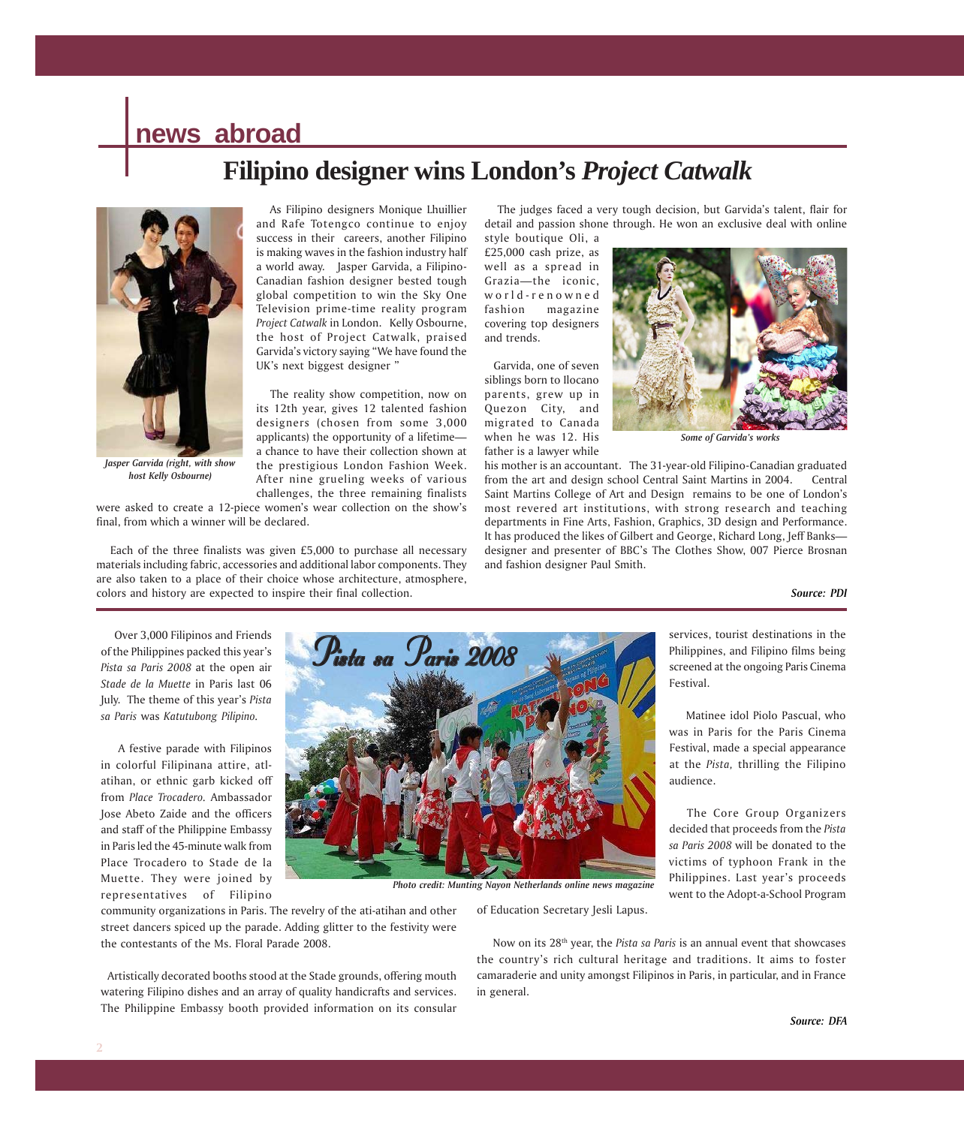# **news abroad**

# **Filipino designer wins London's** *Project Catwalk*



*Jasper Garvida (right, with show host Kelly Osbourne)*

 As Filipino designers Monique Lhuillier and Rafe Totengco continue to enjoy success in their careers, another Filipino is making waves in the fashion industry half a world away. Jasper Garvida, a Filipino-Canadian fashion designer bested tough global competition to win the Sky One Television prime-time reality program *Project Catwalk* in London. Kelly Osbourne, the host of Project Catwalk, praised Garvida's victory saying "We have found the UK's next biggest designer "

 The reality show competition, now on its 12th year, gives 12 talented fashion designers (chosen from some 3,000 applicants) the opportunity of a lifetime a chance to have their collection shown at the prestigious London Fashion Week. After nine grueling weeks of various challenges, the three remaining finalists

were asked to create a 12-piece women's wear collection on the show's final, from which a winner will be declared.

 Each of the three finalists was given £5,000 to purchase all necessary materials including fabric, accessories and additional labor components. They are also taken to a place of their choice whose architecture, atmosphere, colors and history are expected to inspire their final collection.

 The judges faced a very tough decision, but Garvida's talent, flair for detail and passion shone through. He won an exclusive deal with online

style boutique Oli, a £25,000 cash prize, as well as a spread in Grazia—the iconic, world-renowned fashion magazine covering top designers and trends.

 Garvida, one of seven siblings born to Ilocano parents, grew up in Quezon City, and migrated to Canada when he was 12. His father is a lawyer while



*Some of Garvida's works*

services, tourist destinations in the Philippines, and Filipino films being screened at the ongoing Paris Cinema

 Matinee idol Piolo Pascual, who was in Paris for the Paris Cinema Festival, made a special appearance at the *Pista,* thrilling the Filipino

 The Core Group Organizers decided that proceeds from the *Pista sa Paris 2008* will be donated to the victims of typhoon Frank in the Philippines. Last year's proceeds went to the Adopt-a-School Program

his mother is an accountant. The 31-year-old Filipino-Canadian graduated from the art and design school Central Saint Martins in 2004. Central Saint Martins College of Art and Design remains to be one of London's most revered art institutions, with strong research and teaching departments in Fine Arts, Fashion, Graphics, 3D design and Performance. It has produced the likes of Gilbert and George, Richard Long, Jeff Banks designer and presenter of BBC's The Clothes Show, 007 Pierce Brosnan and fashion designer Paul Smith.

Festival.

audience.

#### *Source: PDI*

 Over 3,000 Filipinos and Friends of the Philippines packed this year's *Pista sa Paris 2008* at the open air *Stade de la Muette* in Paris last 06 July. The theme of this year's *Pista sa Paris* was *Katutubong Pilipino.*

 A festive parade with Filipinos in colorful Filipinana attire, atlatihan, or ethnic garb kicked off from *Place Trocadero.* Ambassador Jose Abeto Zaide and the officers and staff of the Philippine Embassy in Paris led the 45-minute walk from Place Trocadero to Stade de la Muette. They were joined by representatives of Filipino



*Photo credit: Munting Nayon Netherlands online news magazine*

community organizations in Paris. The revelry of the ati-atihan and other street dancers spiced up the parade. Adding glitter to the festivity were the contestants of the Ms. Floral Parade 2008.

 Artistically decorated booths stood at the Stade grounds, offering mouth watering Filipino dishes and an array of quality handicrafts and services. The Philippine Embassy booth provided information on its consular

of Education Secretary Jesli Lapus.

 Now on its 28th year, the *Pista sa Paris* is an annual event that showcases the country's rich cultural heritage and traditions. It aims to foster camaraderie and unity amongst Filipinos in Paris, in particular, and in France in general.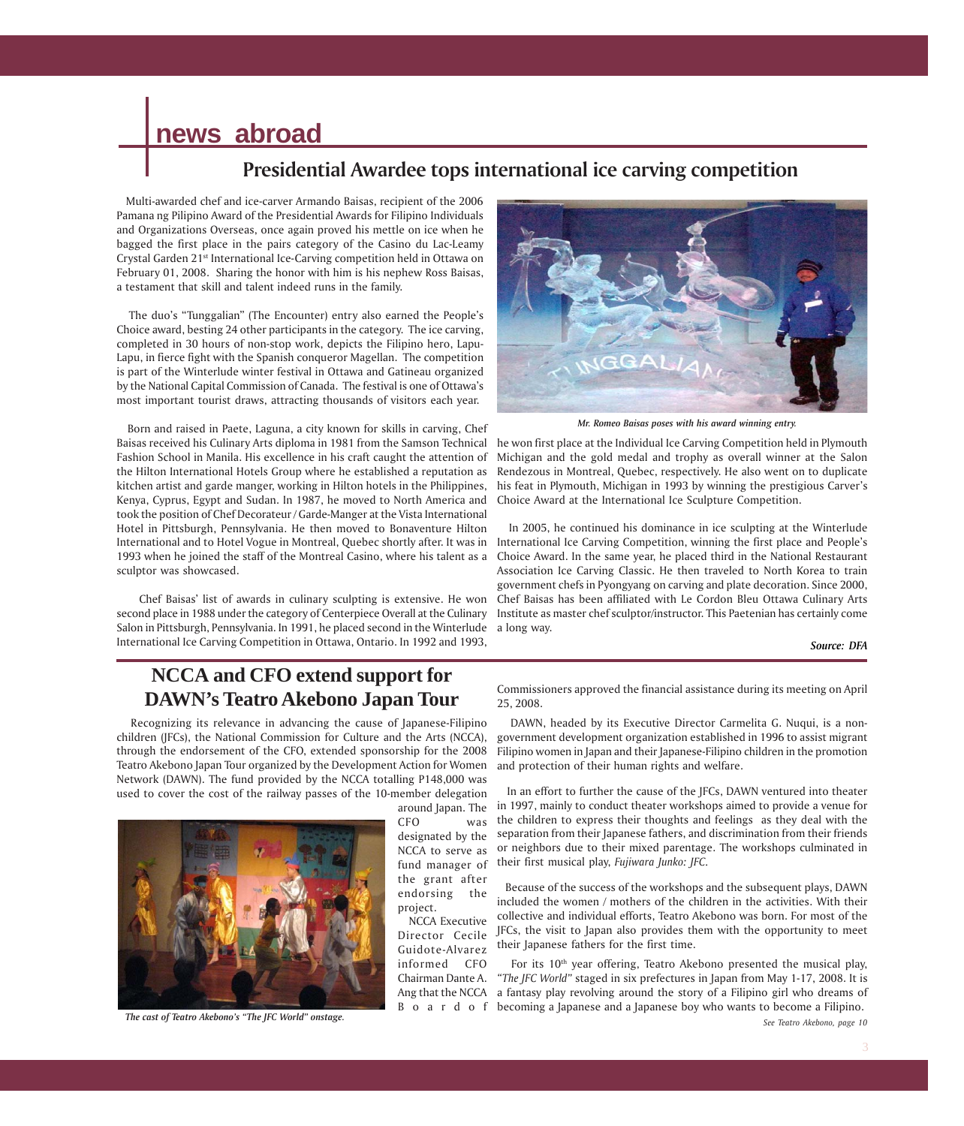# **news abroad**

## **Presidential Awardee tops international ice carving competition**

 Multi-awarded chef and ice-carver Armando Baisas, recipient of the 2006 Pamana ng Pilipino Award of the Presidential Awards for Filipino Individuals and Organizations Overseas, once again proved his mettle on ice when he bagged the first place in the pairs category of the Casino du Lac-Leamy Crystal Garden 21st International Ice-Carving competition held in Ottawa on February 01, 2008. Sharing the honor with him is his nephew Ross Baisas, a testament that skill and talent indeed runs in the family.

 The duo's "Tunggalian" (The Encounter) entry also earned the People's Choice award, besting 24 other participants in the category. The ice carving, completed in 30 hours of non-stop work, depicts the Filipino hero, Lapu-Lapu, in fierce fight with the Spanish conqueror Magellan. The competition is part of the Winterlude winter festival in Ottawa and Gatineau organized by the National Capital Commission of Canada. The festival is one of Ottawa's most important tourist draws, attracting thousands of visitors each year.

 Born and raised in Paete, Laguna, a city known for skills in carving, Chef Baisas received his Culinary Arts diploma in 1981 from the Samson Technical Fashion School in Manila. His excellence in his craft caught the attention of the Hilton International Hotels Group where he established a reputation as kitchen artist and garde manger, working in Hilton hotels in the Philippines, Kenya, Cyprus, Egypt and Sudan. In 1987, he moved to North America and took the position of Chef Decorateur / Garde-Manger at the Vista International Hotel in Pittsburgh, Pennsylvania. He then moved to Bonaventure Hilton International and to Hotel Vogue in Montreal, Quebec shortly after. It was in 1993 when he joined the staff of the Montreal Casino, where his talent as a sculptor was showcased.

 Chef Baisas' list of awards in culinary sculpting is extensive. He won second place in 1988 under the category of Centerpiece Overall at the Culinary Salon in Pittsburgh, Pennsylvania. In 1991, he placed second in the Winterlude International Ice Carving Competition in Ottawa, Ontario. In 1992 and 1993,



*Mr. Romeo Baisas poses with his award winning entry.*

he won first place at the Individual Ice Carving Competition held in Plymouth Michigan and the gold medal and trophy as overall winner at the Salon Rendezous in Montreal, Quebec, respectively. He also went on to duplicate his feat in Plymouth, Michigan in 1993 by winning the prestigious Carver's Choice Award at the International Ice Sculpture Competition.

 In 2005, he continued his dominance in ice sculpting at the Winterlude International Ice Carving Competition, winning the first place and People's Choice Award. In the same year, he placed third in the National Restaurant Association Ice Carving Classic. He then traveled to North Korea to train government chefs in Pyongyang on carving and plate decoration. Since 2000, Chef Baisas has been affiliated with Le Cordon Bleu Ottawa Culinary Arts Institute as master chef sculptor/instructor. This Paetenian has certainly come a long way.

*Source: DFA*

## **NCCA and CFO extend support for DAWN's Teatro Akebono Japan Tour**

 Recognizing its relevance in advancing the cause of Japanese-Filipino children (JFCs), the National Commission for Culture and the Arts (NCCA), through the endorsement of the CFO, extended sponsorship for the 2008 Teatro Akebono Japan Tour organized by the Development Action for Women Network (DAWN). The fund provided by the NCCA totalling P148,000 was used to cover the cost of the railway passes of the 10-member delegation



 *The cast of Teatro Akebono's "The JFC World" onstage.*

around Japan. The CFO was designated by the NCCA to serve as fund manager of the grant after endorsing the project.

 NCCA Executive Director Cecile Guidote-Alvarez informed CFO

Commissioners approved the financial assistance during its meeting on April 25, 2008.

 DAWN, headed by its Executive Director Carmelita G. Nuqui, is a nongovernment development organization established in 1996 to assist migrant Filipino women in Japan and their Japanese-Filipino children in the promotion and protection of their human rights and welfare.

 In an effort to further the cause of the JFCs, DAWN ventured into theater in 1997, mainly to conduct theater workshops aimed to provide a venue for the children to express their thoughts and feelings as they deal with the separation from their Japanese fathers, and discrimination from their friends or neighbors due to their mixed parentage. The workshops culminated in their first musical play, *Fujiwara Junko: JFC.*

 Because of the success of the workshops and the subsequent plays, DAWN included the women / mothers of the children in the activities. With their collective and individual efforts, Teatro Akebono was born. For most of the JFCs, the visit to Japan also provides them with the opportunity to meet their Japanese fathers for the first time.

Chairman Dante A. *"The JFC World"* staged in six prefectures in Japan from May 1-17, 2008. It is Ang that the NCCA a fantasy play revolving around the story of a Filipino girl who dreams of B o a r d o f becoming a Japanese and a Japanese boy who wants to become a Filipino. For its 10<sup>th</sup> year offering, Teatro Akebono presented the musical play,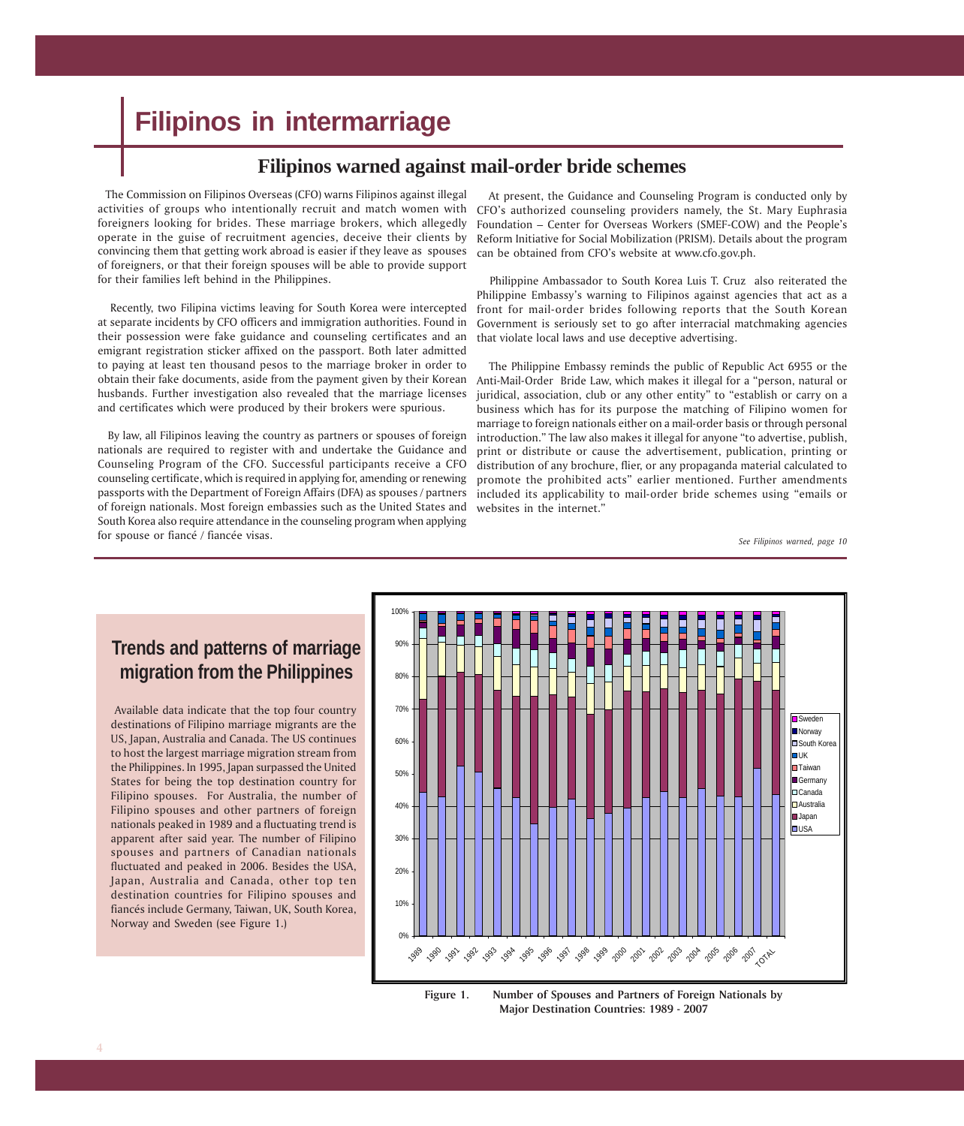# **Filipinos in intermarriage**

## **Filipinos warned against mail-order bride schemes**

 The Commission on Filipinos Overseas (CFO) warns Filipinos against illegal activities of groups who intentionally recruit and match women with foreigners looking for brides. These marriage brokers, which allegedly operate in the guise of recruitment agencies, deceive their clients by convincing them that getting work abroad is easier if they leave as spouses of foreigners, or that their foreign spouses will be able to provide support for their families left behind in the Philippines.

 Recently, two Filipina victims leaving for South Korea were intercepted at separate incidents by CFO officers and immigration authorities. Found in their possession were fake guidance and counseling certificates and an emigrant registration sticker affixed on the passport. Both later admitted to paying at least ten thousand pesos to the marriage broker in order to obtain their fake documents, aside from the payment given by their Korean Anti-Mail-Order Bride Law, which makes it illegal for a "person, natural or husbands. Further investigation also revealed that the marriage licenses and certificates which were produced by their brokers were spurious.

 By law, all Filipinos leaving the country as partners or spouses of foreign nationals are required to register with and undertake the Guidance and Counseling Program of the CFO. Successful participants receive a CFO counseling certificate, which is required in applying for, amending or renewing passports with the Department of Foreign Affairs (DFA) as spouses / partners of foreign nationals. Most foreign embassies such as the United States and South Korea also require attendance in the counseling program when applying for spouse or fiancé / fiancée visas.

 At present, the Guidance and Counseling Program is conducted only by CFO's authorized counseling providers namely, the St. Mary Euphrasia Foundation – Center for Overseas Workers (SMEF-COW) and the People's Reform Initiative for Social Mobilization (PRISM). Details about the program can be obtained from CFO's website at www.cfo.gov.ph.

 Philippine Ambassador to South Korea Luis T. Cruz also reiterated the Philippine Embassy's warning to Filipinos against agencies that act as a front for mail-order brides following reports that the South Korean Government is seriously set to go after interracial matchmaking agencies that violate local laws and use deceptive advertising.

 The Philippine Embassy reminds the public of Republic Act 6955 or the juridical, association, club or any other entity" to "establish or carry on a business which has for its purpose the matching of Filipino women for marriage to foreign nationals either on a mail-order basis or through personal introduction." The law also makes it illegal for anyone "to advertise, publish, print or distribute or cause the advertisement, publication, printing or distribution of any brochure, flier, or any propaganda material calculated to promote the prohibited acts" earlier mentioned. Further amendments included its applicability to mail-order bride schemes using "emails or websites in the internet."

*See Filipinos warned, page 10*

# **Trends and patterns of marriage migration from the Philippines**

 Available data indicate that the top four country destinations of Filipino marriage migrants are the US, Japan, Australia and Canada. The US continues to host the largest marriage migration stream from the Philippines. In 1995, Japan surpassed the United States for being the top destination country for Filipino spouses. For Australia, the number of Filipino spouses and other partners of foreign nationals peaked in 1989 and a fluctuating trend is apparent after said year. The number of Filipino spouses and partners of Canadian nationals fluctuated and peaked in 2006. Besides the USA, Japan, Australia and Canada, other top ten destination countries for Filipino spouses and fiancés include Germany, Taiwan, UK, South Korea, Norway and Sweden (see Figure 1.)



**Figure 1. Number of Spouses and Partners of Foreign Nationals by Major Destination Countries: 1989 - 2007**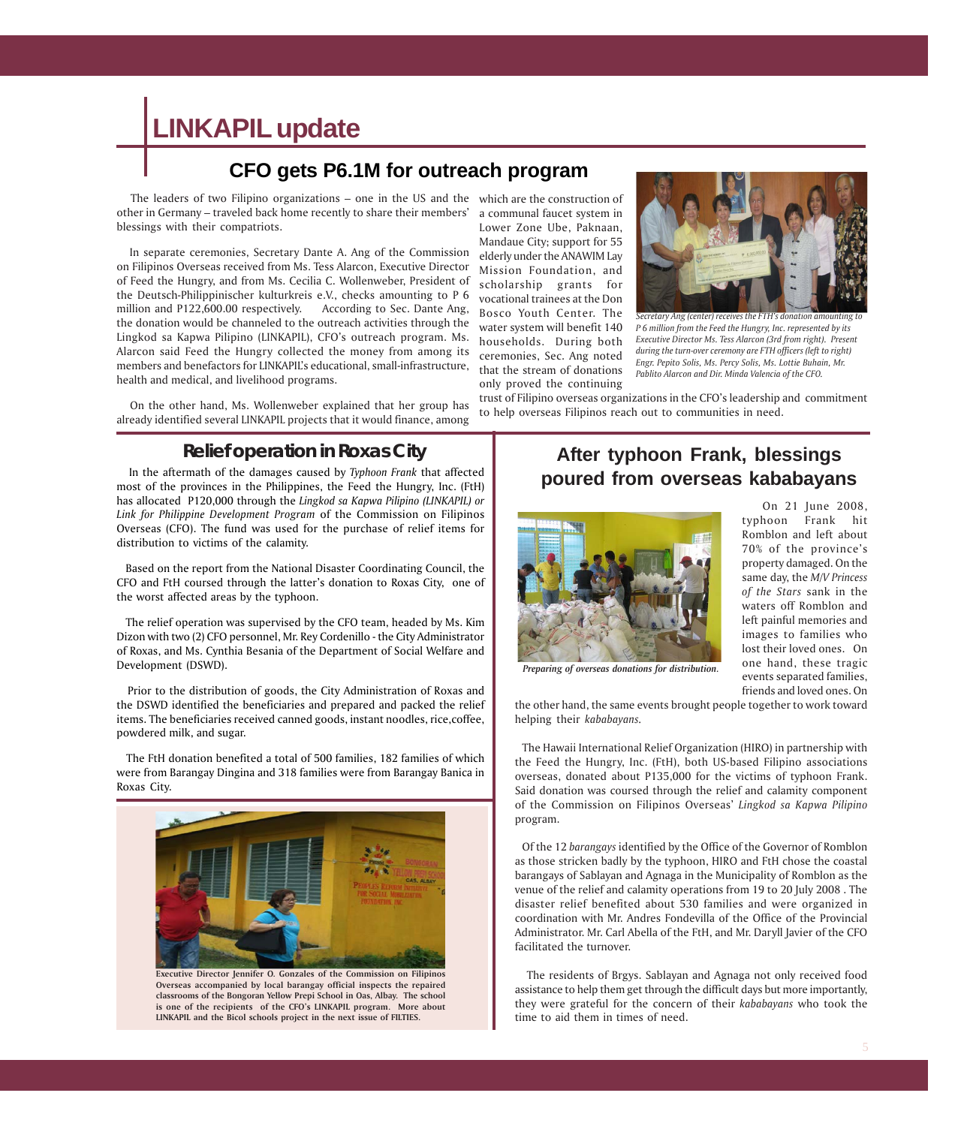# **LINKAPIL update**

## **CFO gets P6.1M for outreach program**

 The leaders of two Filipino organizations – one in the US and the which are the construction of other in Germany – traveled back home recently to share their members' a communal faucet system in blessings with their compatriots.

 In separate ceremonies, Secretary Dante A. Ang of the Commission on Filipinos Overseas received from Ms. Tess Alarcon, Executive Director of Feed the Hungry, and from Ms. Cecilia C. Wollenweber, President of the Deutsch-Philippinischer kulturkreis e.V., checks amounting to P 6 million and P122,600.00 respectively. According to Sec. Dante Ang, the donation would be channeled to the outreach activities through the Lingkod sa Kapwa Pilipino (LINKAPIL), CFO's outreach program. Ms. Alarcon said Feed the Hungry collected the money from among its members and benefactors for LINKAPIL's educational, small-infrastructure, health and medical, and livelihood programs.

 On the other hand, Ms. Wollenweber explained that her group has already identified several LINKAPIL projects that it would finance, among

### **Relief operation in Roxas City**

 In the aftermath of the damages caused by *Typhoon Frank* that affected most of the provinces in the Philippines, the Feed the Hungry, Inc. (FtH) has allocated P120,000 through the *Lingkod sa Kapwa Pilipino (LINKAPIL) or Link for Philippine Development Program* of the Commission on Filipinos Overseas (CFO). The fund was used for the purchase of relief items for distribution to victims of the calamity.

 Based on the report from the National Disaster Coordinating Council, the CFO and FtH coursed through the latter's donation to Roxas City, one of the worst affected areas by the typhoon.

 The relief operation was supervised by the CFO team, headed by Ms. Kim Dizon with two (2) CFO personnel, Mr. Rey Cordenillo - the City Administrator of Roxas, and Ms. Cynthia Besania of the Department of Social Welfare and Development (DSWD).

 Prior to the distribution of goods, the City Administration of Roxas and the DSWD identified the beneficiaries and prepared and packed the relief items. The beneficiaries received canned goods, instant noodles, rice,coffee, powdered milk, and sugar.

 The FtH donation benefited a total of 500 families, 182 families of which were from Barangay Dingina and 318 families were from Barangay Banica in Roxas City.



**Executive Director Jennifer O. Gonzales of the Commission on Filipinos Overseas accompanied by local barangay official inspects the repaired classrooms of the Bongoran Yellow Prepi School in Oas, Albay. The school is one of the recipients of the CFO's LINKAPIL program. More about LINKAPIL and the Bicol schools project in the next issue of FILTIES.**

Lower Zone Ube, Paknaan, Mandaue City; support for 55 elderly under the ANAWIM Lay Mission Foundation, and scholarship grants for vocational trainees at the Don Bosco Youth Center. The water system will benefit 140 households. During both ceremonies, Sec. Ang noted that the stream of donations only proved the continuing



*Secretary Ang (center) receives the FTH's donation amounting to P 6 million from the Feed the Hungry, Inc. represented by its Executive Director Ms. Tess Alarcon (3rd from right). Present during the turn-over ceremony are FTH officers (left to right) Engr. Pepito Solis, Ms. Percy Solis, Ms. Lottie Buhain, Mr. Pablito Alarcon and Dir. Minda Valencia of the CFO.*

trust of Filipino overseas organizations in the CFO's leadership and commitment to help overseas Filipinos reach out to communities in need.

## **After typhoon Frank, blessings poured from overseas kababayans**



 On 21 June 2008, typhoon Frank hit Romblon and left about 70% of the province's property damaged. On the same day, the *M/V Princess of the Stars* sank in the waters off Romblon and left painful memories and images to families who lost their loved ones. On one hand, these tragic events separated families, friends and loved ones. On

*Preparing of overseas donations for distribution.*

the other hand, the same events brought people together to work toward helping their *kababayans.*

 The Hawaii International Relief Organization (HIRO) in partnership with the Feed the Hungry, Inc. (FtH), both US-based Filipino associations overseas, donated about P135,000 for the victims of typhoon Frank. Said donation was coursed through the relief and calamity component of the Commission on Filipinos Overseas' *Lingkod sa Kapwa Pilipino* program.

 Of the 12 *barangays* identified by the Office of the Governor of Romblon as those stricken badly by the typhoon, HIRO and FtH chose the coastal barangays of Sablayan and Agnaga in the Municipality of Romblon as the venue of the relief and calamity operations from 19 to 20 July 2008 . The disaster relief benefited about 530 families and were organized in coordination with Mr. Andres Fondevilla of the Office of the Provincial Administrator. Mr. Carl Abella of the FtH, and Mr. Daryll Javier of the CFO facilitated the turnover.

 The residents of Brgys. Sablayan and Agnaga not only received food assistance to help them get through the difficult days but more importantly, they were grateful for the concern of their *kababayans* who took the time to aid them in times of need.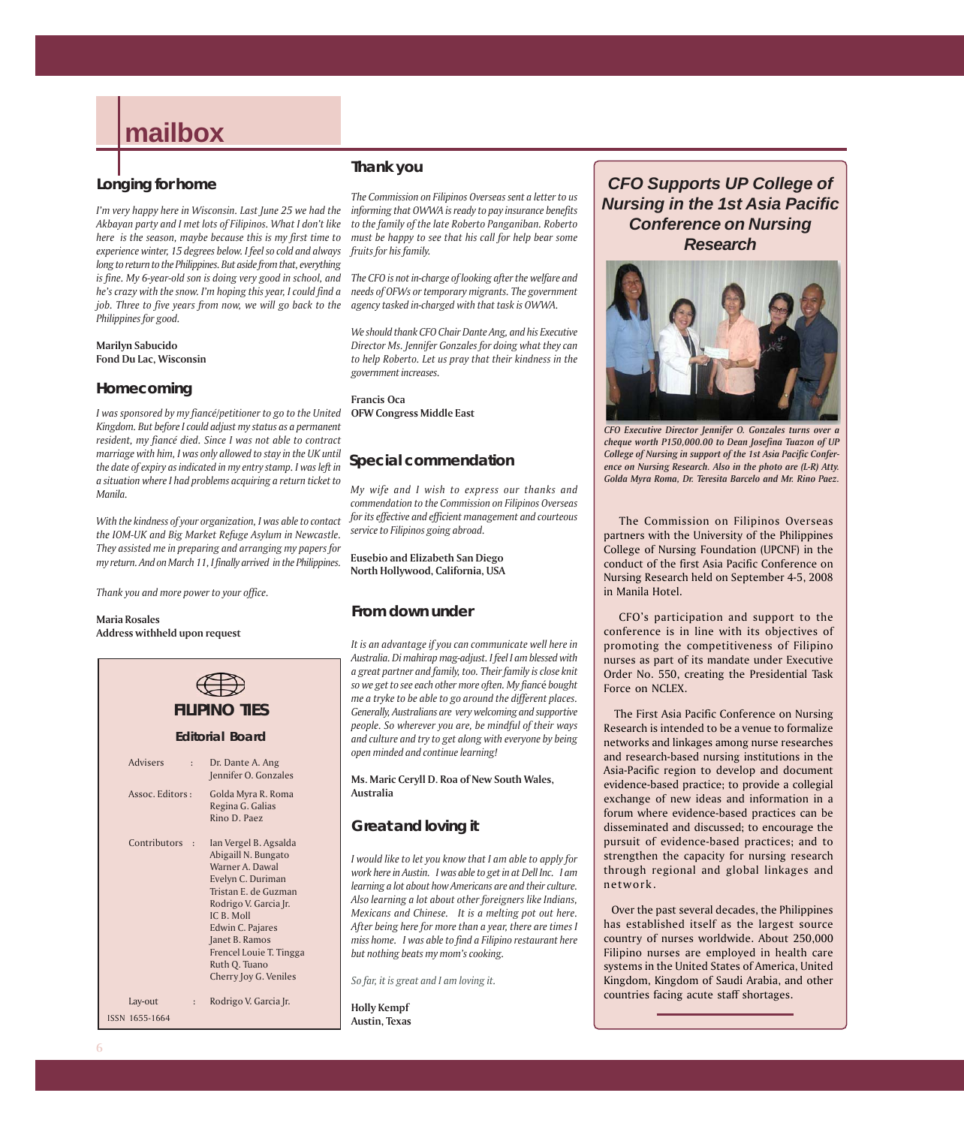# **mailbox**

### **Longing for home**

*I'm very happy here in Wisconsin. Last June 25 we had the Akbayan party and I met lots of Filipinos. What I don't like here is the season, maybe because this is my first time to experience winter, 15 degrees below. I feel so cold and always long to return to the Philippines. But aside from that, everything is fine. My 6-year-old son is doing very good in school, and he's crazy with the snow. I'm hoping this year, I could find a job. Three to five years from now, we will go back to the Philippines for good.*

**Marilyn Sabucido Fond Du Lac, Wisconsin**

### **Homecoming**

*I was sponsored by my fiancé/petitioner to go to the United Kingdom. But before I could adjust my status as a permanent resident, my fiancé died. Since I was not able to contract marriage with him, I was only allowed to stay in the UK until the date of expiry as indicated in my entry stamp. I was left in a situation where I had problems acquiring a return ticket to Manila.*

*With the kindness of your organization, I was able to contact the IOM-UK and Big Market Refuge Asylum in Newcastle. They assisted me in preparing and arranging my papers for my return. And on March 11, I finally arrived in the Philippines.*

*Thank you and more power to your office.*

#### **Maria Rosales Address withheld upon request**



### **Thank you**

*The Commission on Filipinos Overseas sent a letter to us informing that OWWA is ready to pay insurance benefits to the family of the late Roberto Panganiban. Roberto must be happy to see that his call for help bear some fruits for his family.*

*The CFO is not in-charge of looking after the welfare and needs of OFWs or temporary migrants. The government agency tasked in-charged with that task is OWWA.*

*We should thank CFO Chair Dante Ang, and his Executive Director Ms. Jennifer Gonzales for doing what they can to help Roberto. Let us pray that their kindness in the government increases.*

**Francis Oca OFW Congress Middle East**

### **Special commendation**

*My wife and I wish to express our thanks and commendation to the Commission on Filipinos Overseas for its effective and efficient management and courteous service to Filipinos going abroad.*

**Eusebio and Elizabeth San Diego North Hollywood, California, USA**

### **From down under**

*It is an advantage if you can communicate well here in Australia. Di mahirap mag-adjust. I feel I am blessed with a great partner and family, too. Their family is close knit so we get to see each other more often. My fianc*é *bought me a tryke to be able to go around the different places. Generally, Australians are very welcoming and supportive people. So wherever you are, be mindful of their ways and culture and try to get along with everyone by being open minded and continue learning!*

**Ms. Maric Ceryll D. Roa of New South Wales, Australia**

### **Great and loving it**

*I would like to let you know that I am able to apply for work here in Austin. I was able to get in at Dell Inc. I am learning a lot about how Americans are and their culture. Also learning a lot about other foreigners like Indians, Mexicans and Chinese. It is a melting pot out here. After being here for more than a year, there are times I miss home. I was able to find a Filipino restaurant here but nothing beats my mom's cooking.*

*So far, it is great and I am loving it.*

**Holly Kempf Austin, Texas**

*CFO Supports UP College of Nursing in the 1st Asia Pacific Conference on Nursing Research*



*CFO Executive Director Jennifer O. Gonzales turns over a cheque worth P150,000.00 to Dean Josefina Tuazon of UP College of Nursing in support of the 1st Asia Pacific Conference on Nursing Research. Also in the photo are (L-R) Atty. Golda Myra Roma, Dr. Teresita Barcelo and Mr. Rino Paez.*

 The Commission on Filipinos Overseas partners with the University of the Philippines College of Nursing Foundation (UPCNF) in the conduct of the first Asia Pacific Conference on Nursing Research held on September 4-5, 2008 in Manila Hotel.

 CFO's participation and support to the conference is in line with its objectives of promoting the competitiveness of Filipino nurses as part of its mandate under Executive Order No. 550, creating the Presidential Task Force on NCLEX.

 The First Asia Pacific Conference on Nursing Research is intended to be a venue to formalize networks and linkages among nurse researches and research-based nursing institutions in the Asia-Pacific region to develop and document evidence-based practice; to provide a collegial exchange of new ideas and information in a forum where evidence-based practices can be disseminated and discussed; to encourage the pursuit of evidence-based practices; and to strengthen the capacity for nursing research through regional and global linkages and network.

 Over the past several decades, the Philippines has established itself as the largest source country of nurses worldwide. About 250,000 Filipino nurses are employed in health care systems in the United States of America, United Kingdom, Kingdom of Saudi Arabia, and other countries facing acute staff shortages.

**6**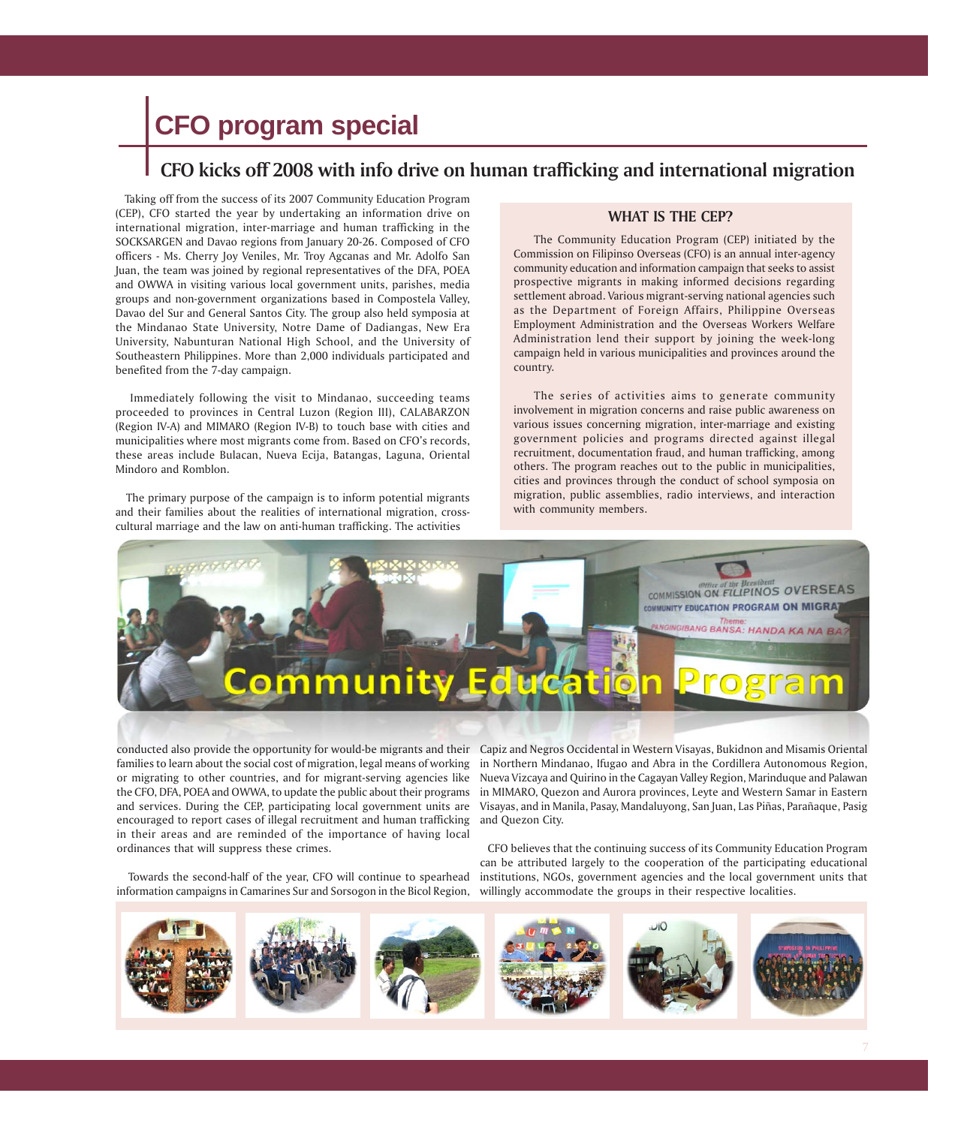# **CFO program special**

## **CFO kicks off 2008 with info drive on human trafficking and international migration**

 Taking off from the success of its 2007 Community Education Program (CEP), CFO started the year by undertaking an information drive on international migration, inter-marriage and human trafficking in the SOCKSARGEN and Davao regions from January 20-26. Composed of CFO officers - Ms. Cherry Joy Veniles, Mr. Troy Agcanas and Mr. Adolfo San Juan, the team was joined by regional representatives of the DFA, POEA and OWWA in visiting various local government units, parishes, media groups and non-government organizations based in Compostela Valley, Davao del Sur and General Santos City. The group also held symposia at the Mindanao State University, Notre Dame of Dadiangas, New Era University, Nabunturan National High School, and the University of Southeastern Philippines. More than 2,000 individuals participated and benefited from the 7-day campaign.

 Immediately following the visit to Mindanao, succeeding teams proceeded to provinces in Central Luzon (Region III), CALABARZON (Region IV-A) and MIMARO (Region IV-B) to touch base with cities and municipalities where most migrants come from. Based on CFO's records, these areas include Bulacan, Nueva Ecija, Batangas, Laguna, Oriental Mindoro and Romblon.

 The primary purpose of the campaign is to inform potential migrants and their families about the realities of international migration, crosscultural marriage and the law on anti-human trafficking. The activities

### **WHAT IS THE CEP?**

The Community Education Program (CEP) initiated by the Commission on Filipinso Overseas (CFO) is an annual inter-agency community education and information campaign that seeks to assist prospective migrants in making informed decisions regarding settlement abroad. Various migrant-serving national agencies such as the Department of Foreign Affairs, Philippine Overseas Employment Administration and the Overseas Workers Welfare Administration lend their support by joining the week-long campaign held in various municipalities and provinces around the country.

The series of activities aims to generate community involvement in migration concerns and raise public awareness on various issues concerning migration, inter-marriage and existing government policies and programs directed against illegal recruitment, documentation fraud, and human trafficking, among others. The program reaches out to the public in municipalities, cities and provinces through the conduct of school symposia on migration, public assemblies, radio interviews, and interaction with community members.



families to learn about the social cost of migration, legal means of working or migrating to other countries, and for migrant-serving agencies like encouraged to report cases of illegal recruitment and human trafficking and Quezon City. in their areas and are reminded of the importance of having local ordinances that will suppress these crimes.

 Towards the second-half of the year, CFO will continue to spearhead information campaigns in Camarines Sur and Sorsogon in the Bicol Region, willingly accommodate the groups in their respective localities.

conducted also provide the opportunity for would-be migrants and their Capiz and Negros Occidental in Western Visayas, Bukidnon and Misamis Oriental the CFO, DFA, POEA and OWWA, to update the public about their programs in MIMARO, Quezon and Aurora provinces, Leyte and Western Samar in Eastern and services. During the CEP, participating local government units are Visayas, and in Manila, Pasay, Mandaluyong, San Juan, Las Piñas, Parañaque, Pasig in Northern Mindanao, Ifugao and Abra in the Cordillera Autonomous Region, Nueva Vizcaya and Quirino in the Cagayan Valley Region, Marinduque and Palawan

> CFO believes that the continuing success of its Community Education Program can be attributed largely to the cooperation of the participating educational institutions, NGOs, government agencies and the local government units that

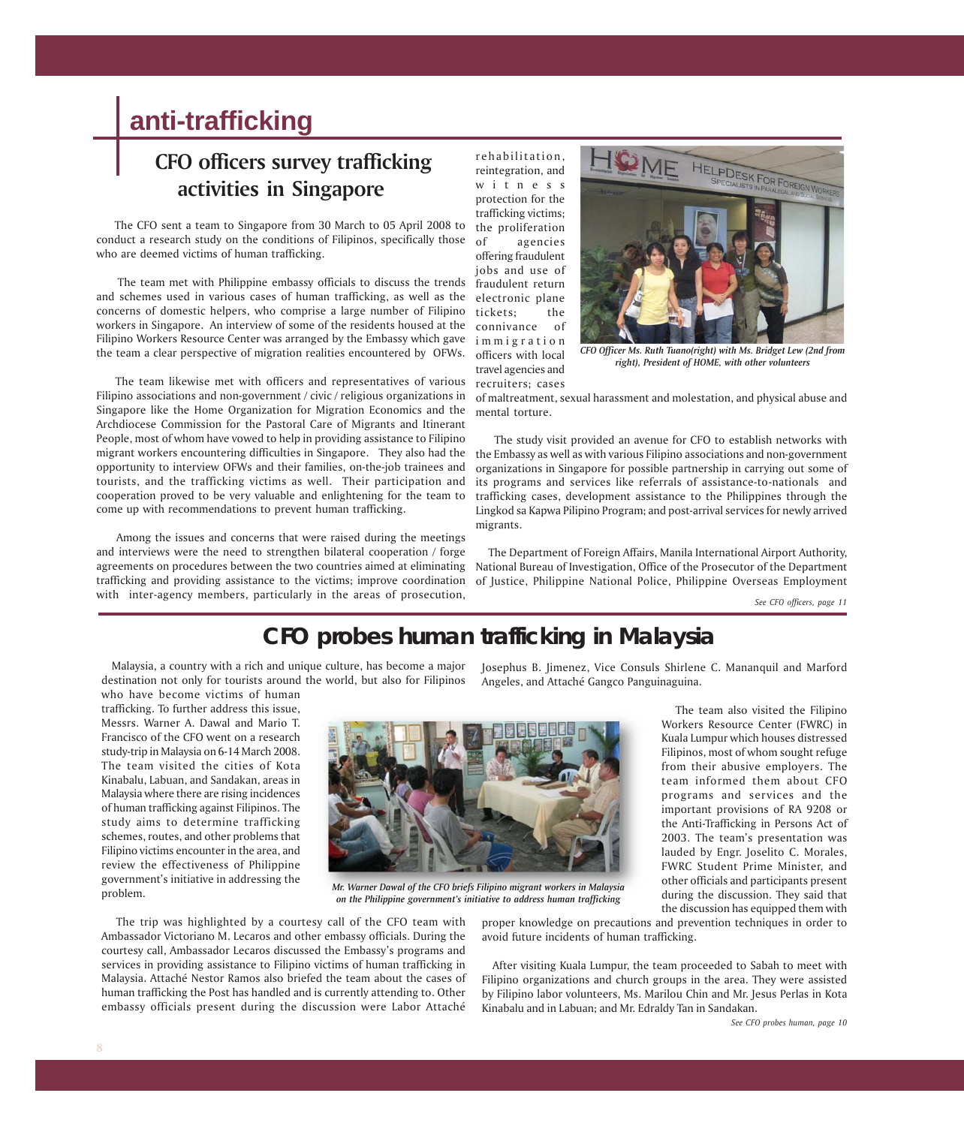# **anti-trafficking**

# **CFO officers survey trafficking activities in Singapore**

 The CFO sent a team to Singapore from 30 March to 05 April 2008 to conduct a research study on the conditions of Filipinos, specifically those who are deemed victims of human trafficking.

 The team met with Philippine embassy officials to discuss the trends and schemes used in various cases of human trafficking, as well as the concerns of domestic helpers, who comprise a large number of Filipino workers in Singapore. An interview of some of the residents housed at the Filipino Workers Resource Center was arranged by the Embassy which gave im migration the team a clear perspective of migration realities encountered by OFWs.

 The team likewise met with officers and representatives of various Filipino associations and non-government / civic / religious organizations in Singapore like the Home Organization for Migration Economics and the Archdiocese Commission for the Pastoral Care of Migrants and Itinerant People, most of whom have vowed to help in providing assistance to Filipino opportunity to interview OFWs and their families, on-the-job trainees and tourists, and the trafficking victims as well. Their participation and cooperation proved to be very valuable and enlightening for the team to come up with recommendations to prevent human trafficking.

 Among the issues and concerns that were raised during the meetings and interviews were the need to strengthen bilateral cooperation / forge agreements on procedures between the two countries aimed at eliminating trafficking and providing assistance to the victims; improve coordination with inter-agency members, particularly in the areas of prosecution,

rehabilitation, reintegration, and witness protection for the trafficking victims; the proliferation of agencies offering fraudulent jobs and use of fraudulent return electronic plane tickets; the connivance of officers with local travel agencies and recruiters; cases



*CFO Officer Ms. Ruth Tuano(right) with Ms. Bridget Lew (2nd from right), President of HOME, with other volunteers*

of maltreatment, sexual harassment and molestation, and physical abuse and mental torture.

migrant workers encountering difficulties in Singapore. They also had the the Embassy as well as with various Filipino associations and non-government The study visit provided an avenue for CFO to establish networks with organizations in Singapore for possible partnership in carrying out some of its programs and services like referrals of assistance-to-nationals and trafficking cases, development assistance to the Philippines through the Lingkod sa Kapwa Pilipino Program; and post-arrival services for newly arrived migrants.

> The Department of Foreign Affairs, Manila International Airport Authority, National Bureau of Investigation, Office of the Prosecutor of the Department of Justice, Philippine National Police, Philippine Overseas Employment

> > *See CFO officers, page 11*

## **CFO probes human trafficking in Malaysia**

 Malaysia, a country with a rich and unique culture, has become a major destination not only for tourists around the world, but also for Filipinos who have become victims of human

trafficking. To further address this issue, Messrs. Warner A. Dawal and Mario T. Francisco of the CFO went on a research study-trip in Malaysia on 6-14 March 2008. The team visited the cities of Kota Kinabalu, Labuan, and Sandakan, areas in Malaysia where there are rising incidences of human trafficking against Filipinos. The study aims to determine trafficking schemes, routes, and other problems that Filipino victims encounter in the area, and review the effectiveness of Philippine government's initiative in addressing the problem.



*Mr. Warner Dawal of the CFO briefs Filipino migrant workers in Malaysia on the Philippine government's initiative to address human trafficking*

 The trip was highlighted by a courtesy call of the CFO team with Ambassador Victoriano M. Lecaros and other embassy officials. During the courtesy call, Ambassador Lecaros discussed the Embassy's programs and services in providing assistance to Filipino victims of human trafficking in Malaysia. Attaché Nestor Ramos also briefed the team about the cases of human trafficking the Post has handled and is currently attending to. Other embassy officials present during the discussion were Labor Attaché

Josephus B. Jimenez, Vice Consuls Shirlene C. Mananquil and Marford Angeles, and Attaché Gangco Panguinaguina.

> The team also visited the Filipino Workers Resource Center (FWRC) in Kuala Lumpur which houses distressed Filipinos, most of whom sought refuge from their abusive employers. The team informed them about CFO programs and services and the important provisions of RA 9208 or the Anti-Trafficking in Persons Act of 2003. The team's presentation was lauded by Engr. Joselito C. Morales, FWRC Student Prime Minister, and other officials and participants present during the discussion. They said that the discussion has equipped them with

proper knowledge on precautions and prevention techniques in order to avoid future incidents of human trafficking.

 After visiting Kuala Lumpur, the team proceeded to Sabah to meet with Filipino organizations and church groups in the area. They were assisted by Filipino labor volunteers, Ms. Marilou Chin and Mr. Jesus Perlas in Kota Kinabalu and in Labuan; and Mr. Edraldy Tan in Sandakan.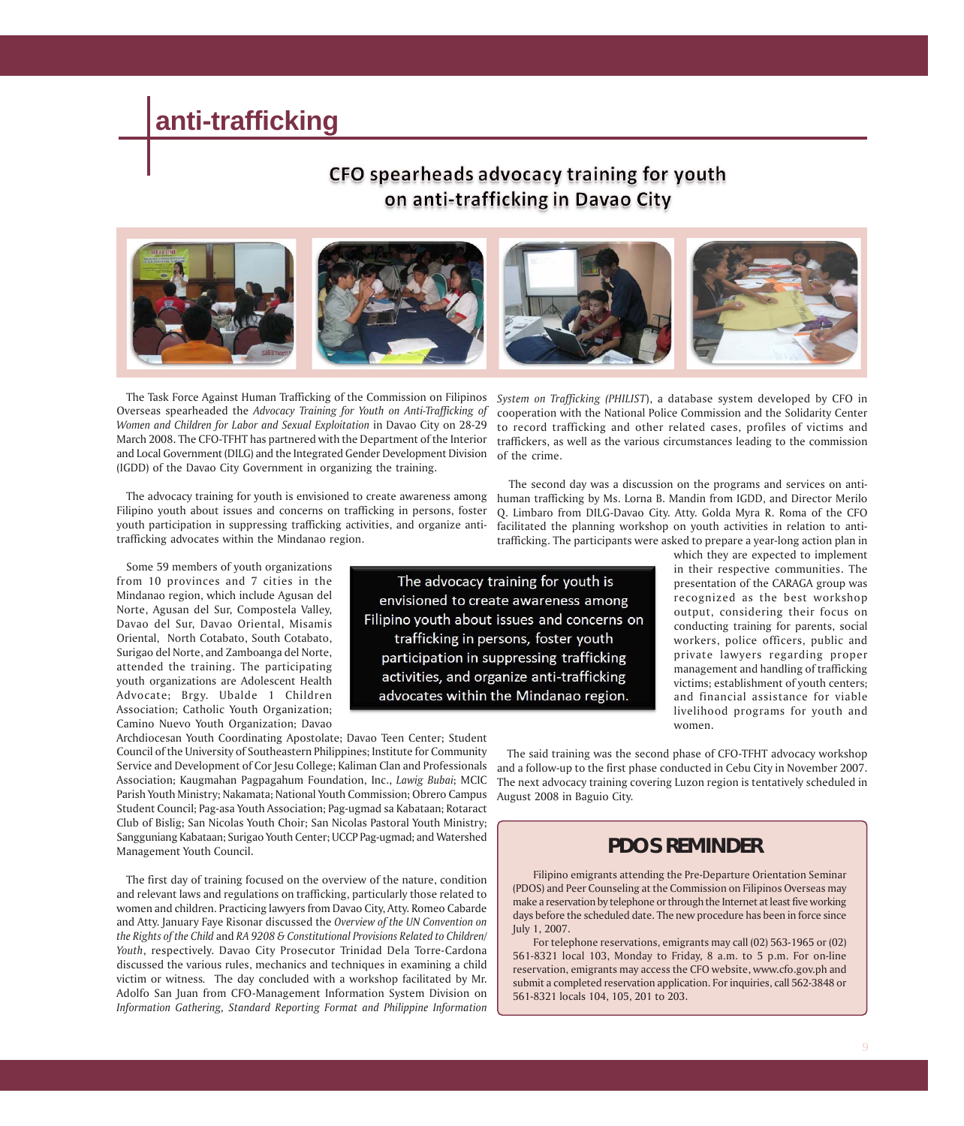# **anti-trafficking**

## CFO spearheads advocacy training for youth on anti-trafficking in Davao City



 The Task Force Against Human Trafficking of the Commission on Filipinos Overseas spearheaded the *Advocacy Training for Youth on Anti-Trafficking of Women and Children for Labor and Sexual Exploitation* in Davao City on 28-29 March 2008. The CFO-TFHT has partnered with the Department of the Interior and Local Government (DILG) and the Integrated Gender Development Division (IGDD) of the Davao City Government in organizing the training.

 The advocacy training for youth is envisioned to create awareness among Filipino youth about issues and concerns on trafficking in persons, foster youth participation in suppressing trafficking activities, and organize antitrafficking advocates within the Mindanao region.

 Some 59 members of youth organizations from 10 provinces and 7 cities in the Mindanao region, which include Agusan del Norte, Agusan del Sur, Compostela Valley, Davao del Sur, Davao Oriental, Misamis Oriental, North Cotabato, South Cotabato, Surigao del Norte, and Zamboanga del Norte, attended the training. The participating youth organizations are Adolescent Health Advocate; Brgy. Ubalde 1 Children Association; Catholic Youth Organization; Camino Nuevo Youth Organization; Davao

Archdiocesan Youth Coordinating Apostolate; Davao Teen Center; Student Council of the University of Southeastern Philippines; Institute for Community Service and Development of Cor Jesu College; Kaliman Clan and Professionals Association; Kaugmahan Pagpagahum Foundation, Inc., *Lawig Bubai*; MCIC Parish Youth Ministry; Nakamata; National Youth Commission; Obrero Campus Student Council; Pag-asa Youth Association; Pag-ugmad sa Kabataan; Rotaract Club of Bislig; San Nicolas Youth Choir; San Nicolas Pastoral Youth Ministry; Sangguniang Kabataan; Surigao Youth Center; UCCP Pag-ugmad; and Watershed Management Youth Council.

 The first day of training focused on the overview of the nature, condition and relevant laws and regulations on trafficking, particularly those related to women and children. Practicing lawyers from Davao City, Atty. Romeo Cabarde and Atty. January Faye Risonar discussed the *Overview of the UN Convention on the Rights of the Child* and *RA 9208 & Constitutional Provisions Related to Children/ Youth*, respectively. Davao City Prosecutor Trinidad Dela Torre-Cardona discussed the various rules, mechanics and techniques in examining a child victim or witness*.* The day concluded with a workshop facilitated by Mr. Adolfo San Juan from CFO-Management Information System Division on *Information Gathering, Standard Reporting Format and Philippine Information*

*System on Trafficking (PHILIST*), a database system developed by CFO in cooperation with the National Police Commission and the Solidarity Center to record trafficking and other related cases, profiles of victims and traffickers, as well as the various circumstances leading to the commission of the crime.

 The second day was a discussion on the programs and services on antihuman trafficking by Ms. Lorna B. Mandin from IGDD, and Director Merilo Q. Limbaro from DILG-Davao City. Atty. Golda Myra R. Roma of the CFO facilitated the planning workshop on youth activities in relation to antitrafficking. The participants were asked to prepare a year-long action plan in

The advocacy training for youth is envisioned to create awareness among Filipino youth about issues and concerns on trafficking in persons, foster youth participation in suppressing trafficking activities, and organize anti-trafficking advocates within the Mindanao region.

which they are expected to implement in their respective communities. The presentation of the CARAGA group was recognized as the best workshop output, considering their focus on conducting training for parents, social workers, police officers, public and private lawyers regarding proper management and handling of trafficking victims; establishment of youth centers; and financial assistance for viable livelihood programs for youth and women.

 The said training was the second phase of CFO-TFHT advocacy workshop and a follow-up to the first phase conducted in Cebu City in November 2007. The next advocacy training covering Luzon region is tentatively scheduled in August 2008 in Baguio City.

## **PDOS REMINDER**

Filipino emigrants attending the Pre-Departure Orientation Seminar (PDOS) and Peer Counseling at the Commission on Filipinos Overseas may make a reservation by telephone or through the Internet at least five working days before the scheduled date. The new procedure has been in force since July 1, 2007.

For telephone reservations, emigrants may call (02) 563-1965 or (02) 561-8321 local 103, Monday to Friday, 8 a.m. to 5 p.m. For on-line reservation, emigrants may access the CFO website, www.cfo.gov.ph and submit a completed reservation application. For inquiries, call 562-3848 or 561-8321 locals 104, 105, 201 to 203.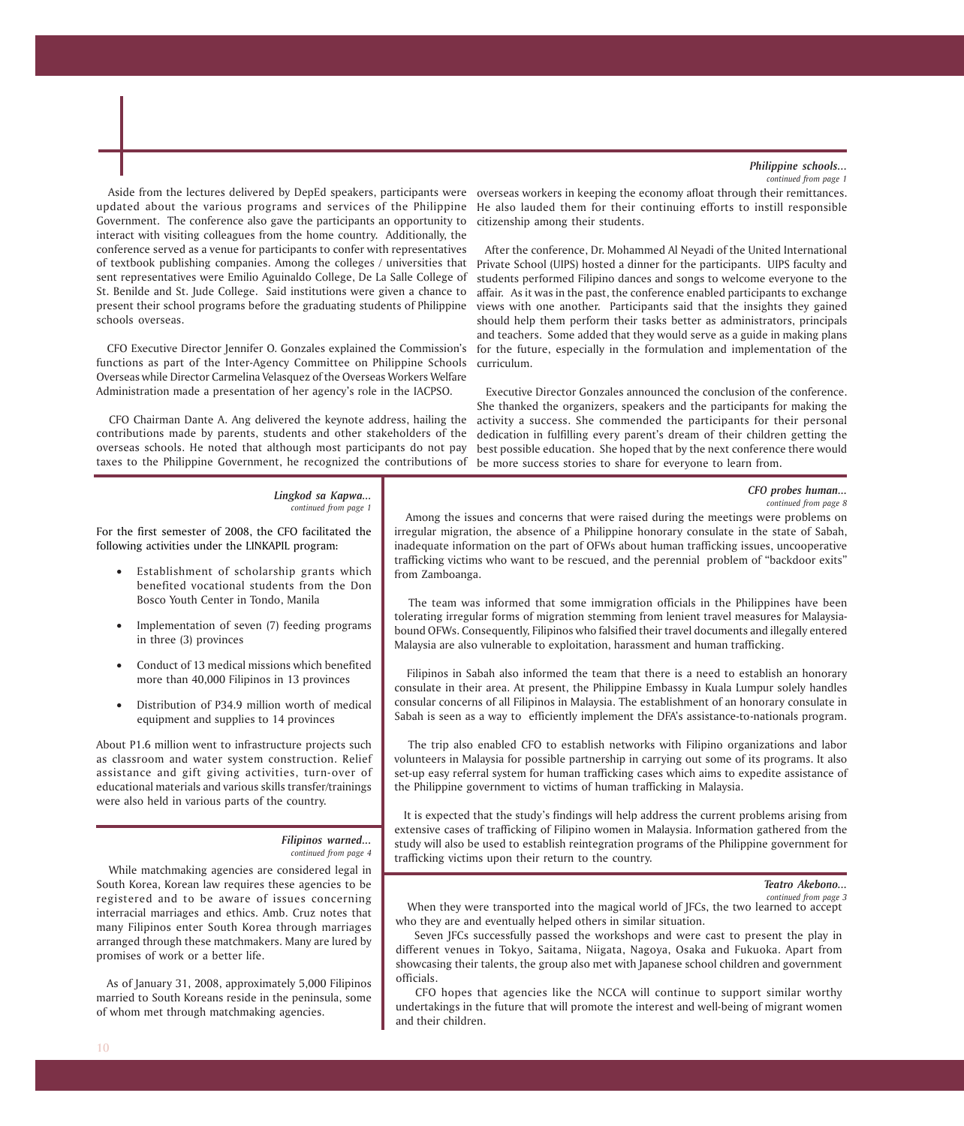### *Philippine schools...*

*CFO probes human... continued from page 8*

*continued from page 1*

Aside from the lectures delivered by DepEd speakers, participants were overseas workers in keeping the economy afloat through their remittances. updated about the various programs and services of the Philippine Government. The conference also gave the participants an opportunity to interact with visiting colleagues from the home country. Additionally, the conference served as a venue for participants to confer with representatives of textbook publishing companies. Among the colleges / universities that sent representatives were Emilio Aguinaldo College, De La Salle College of St. Benilde and St. Jude College. Said institutions were given a chance to present their school programs before the graduating students of Philippine schools overseas.

 CFO Executive Director Jennifer O. Gonzales explained the Commission's functions as part of the Inter-Agency Committee on Philippine Schools Overseas while Director Carmelina Velasquez of the Overseas Workers Welfare Administration made a presentation of her agency's role in the IACPSO.

 CFO Chairman Dante A. Ang delivered the keynote address, hailing the contributions made by parents, students and other stakeholders of the overseas schools. He noted that although most participants do not pay taxes to the Philippine Government, he recognized the contributions of

He also lauded them for their continuing efforts to instill responsible citizenship among their students.

 After the conference, Dr. Mohammed Al Neyadi of the United International Private School (UIPS) hosted a dinner for the participants. UIPS faculty and students performed Filipino dances and songs to welcome everyone to the affair. As it was in the past, the conference enabled participants to exchange views with one another. Participants said that the insights they gained should help them perform their tasks better as administrators, principals and teachers. Some added that they would serve as a guide in making plans for the future, especially in the formulation and implementation of the curriculum.

 Executive Director Gonzales announced the conclusion of the conference. She thanked the organizers, speakers and the participants for making the activity a success. She commended the participants for their personal dedication in fulfilling every parent's dream of their children getting the best possible education. She hoped that by the next conference there would be more success stories to share for everyone to learn from.

#### *Lingkod sa Kapwa... continued from page 1*

For the first semester of 2008, the CFO facilitated the following activities under the LINKAPIL program:

- Establishment of scholarship grants which benefited vocational students from the Don Bosco Youth Center in Tondo, Manila
- Implementation of seven (7) feeding programs in three (3) provinces
- Conduct of 13 medical missions which benefited more than 40,000 Filipinos in 13 provinces
- Distribution of P34.9 million worth of medical equipment and supplies to 14 provinces

About P1.6 million went to infrastructure projects such as classroom and water system construction. Relief assistance and gift giving activities, turn-over of educational materials and various skills transfer/trainings were also held in various parts of the country.

#### *Filipinos warned... continued from page 4*

 While matchmaking agencies are considered legal in South Korea, Korean law requires these agencies to be registered and to be aware of issues concerning interracial marriages and ethics. Amb. Cruz notes that many Filipinos enter South Korea through marriages arranged through these matchmakers. Many are lured by promises of work or a better life.

 As of January 31, 2008, approximately 5,000 Filipinos married to South Koreans reside in the peninsula, some of whom met through matchmaking agencies.

 Among the issues and concerns that were raised during the meetings were problems on irregular migration, the absence of a Philippine honorary consulate in the state of Sabah, inadequate information on the part of OFWs about human trafficking issues, uncooperative trafficking victims who want to be rescued, and the perennial problem of "backdoor exits" from Zamboanga.

 The team was informed that some immigration officials in the Philippines have been tolerating irregular forms of migration stemming from lenient travel measures for Malaysiabound OFWs. Consequently, Filipinos who falsified their travel documents and illegally entered Malaysia are also vulnerable to exploitation, harassment and human trafficking.

 Filipinos in Sabah also informed the team that there is a need to establish an honorary consulate in their area. At present, the Philippine Embassy in Kuala Lumpur solely handles consular concerns of all Filipinos in Malaysia. The establishment of an honorary consulate in Sabah is seen as a way to efficiently implement the DFA's assistance-to-nationals program.

 The trip also enabled CFO to establish networks with Filipino organizations and labor volunteers in Malaysia for possible partnership in carrying out some of its programs. It also set-up easy referral system for human trafficking cases which aims to expedite assistance of the Philippine government to victims of human trafficking in Malaysia.

 It is expected that the study's findings will help address the current problems arising from extensive cases of trafficking of Filipino women in Malaysia. Information gathered from the study will also be used to establish reintegration programs of the Philippine government for trafficking victims upon their return to the country.

#### *Teatro Akebono...*

*continued from page 3*

 When they were transported into the magical world of JFCs, the two learned to accept who they are and eventually helped others in similar situation.

 Seven JFCs successfully passed the workshops and were cast to present the play in different venues in Tokyo, Saitama, Niigata, Nagoya, Osaka and Fukuoka. Apart from showcasing their talents, the group also met with Japanese school children and government officials.

 CFO hopes that agencies like the NCCA will continue to support similar worthy undertakings in the future that will promote the interest and well-being of migrant women and their children.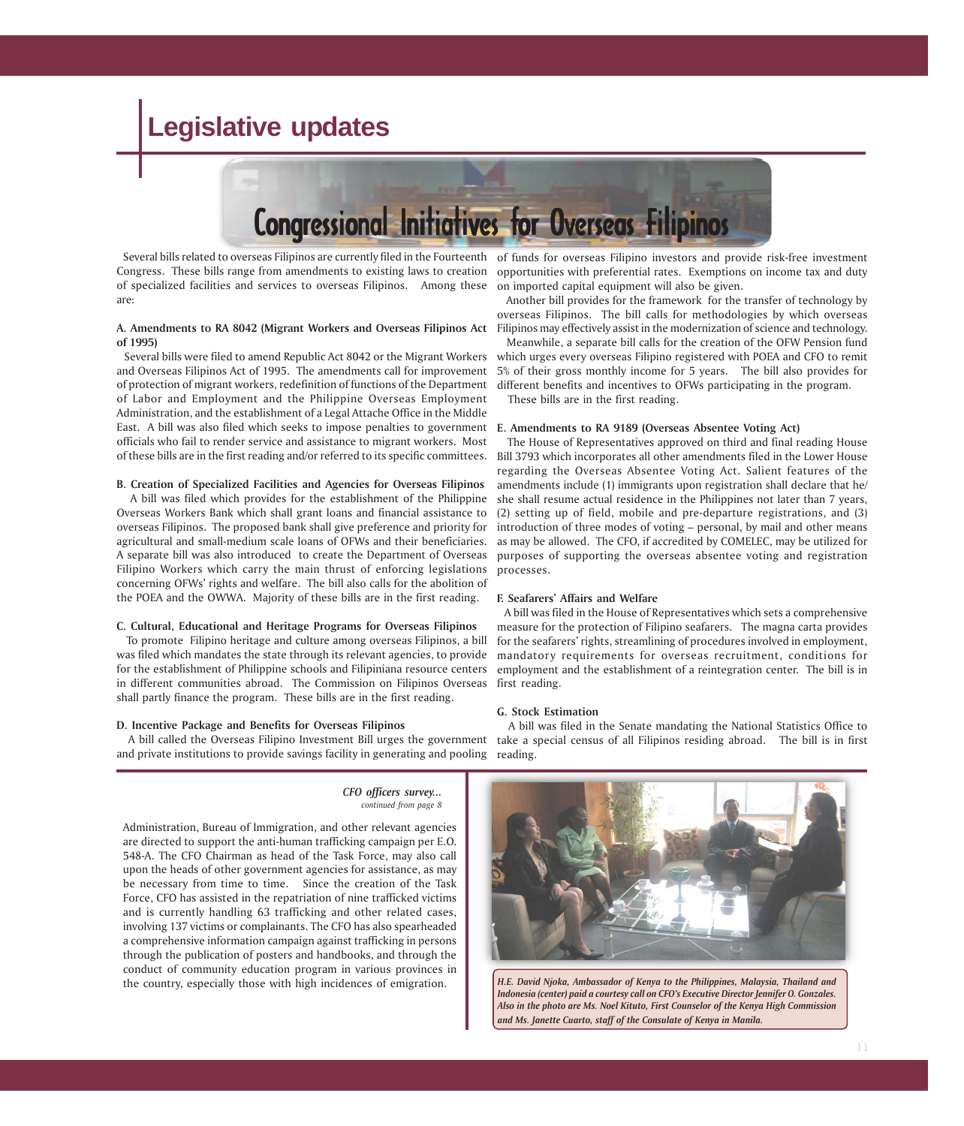# **Legislative updates**



Congress. These bills range from amendments to existing laws to creation of specialized facilities and services to overseas Filipinos. Among these are:

#### **A. Amendments to RA 8042 (Migrant Workers and Overseas Filipinos Act of 1995)**

 Several bills were filed to amend Republic Act 8042 or the Migrant Workers and Overseas Filipinos Act of 1995. The amendments call for improvement of protection of migrant workers, redefinition of functions of the Department of Labor and Employment and the Philippine Overseas Employment Administration, and the establishment of a Legal Attache Office in the Middle East. A bill was also filed which seeks to impose penalties to government officials who fail to render service and assistance to migrant workers. Most of these bills are in the first reading and/or referred to its specific committees.

#### **B. Creation of Specialized Facilities and Agencies for Overseas Filipinos**

A bill was filed which provides for the establishment of the Philippine Overseas Workers Bank which shall grant loans and financial assistance to overseas Filipinos. The proposed bank shall give preference and priority for agricultural and small-medium scale loans of OFWs and their beneficiaries. A separate bill was also introduced to create the Department of Overseas Filipino Workers which carry the main thrust of enforcing legislations concerning OFWs' rights and welfare. The bill also calls for the abolition of the POEA and the OWWA. Majority of these bills are in the first reading.

#### **C. Cultural, Educational and Heritage Programs for Overseas Filipinos**

To promote Filipino heritage and culture among overseas Filipinos, a bill was filed which mandates the state through its relevant agencies, to provide for the establishment of Philippine schools and Filipiniana resource centers in different communities abroad. The Commission on Filipinos Overseas shall partly finance the program. These bills are in the first reading.

#### **D. Incentive Package and Benefits for Overseas Filipinos**

and private institutions to provide savings facility in generating and pooling

*CFO officers survey... continued from page 8*

Administration, Bureau of Immigration, and other relevant agencies are directed to support the anti-human trafficking campaign per E.O. 548-A. The CFO Chairman as head of the Task Force, may also call upon the heads of other government agencies for assistance, as may be necessary from time to time. Since the creation of the Task Force, CFO has assisted in the repatriation of nine trafficked victims and is currently handling 63 trafficking and other related cases, involving 137 victims or complainants. The CFO has also spearheaded a comprehensive information campaign against trafficking in persons through the publication of posters and handbooks, and through the conduct of community education program in various provinces in the country, especially those with high incidences of emigration.

Several bills related to overseas Filipinos are currently filed in the Fourteenth of funds for overseas Filipino investors and provide risk-free investment opportunities with preferential rates. Exemptions on income tax and duty on imported capital equipment will also be given.

> Another bill provides for the framework for the transfer of technology by overseas Filipinos. The bill calls for methodologies by which overseas Filipinos may effectively assist in the modernization of science and technology.

> Meanwhile, a separate bill calls for the creation of the OFW Pension fund which urges every overseas Filipino registered with POEA and CFO to remit 5% of their gross monthly income for 5 years. The bill also provides for different benefits and incentives to OFWs participating in the program.

These bills are in the first reading.

#### **E. Amendments to RA 9189 (Overseas Absentee Voting Act)**

The House of Representatives approved on third and final reading House Bill 3793 which incorporates all other amendments filed in the Lower House regarding the Overseas Absentee Voting Act. Salient features of the amendments include (1) immigrants upon registration shall declare that he/ she shall resume actual residence in the Philippines not later than 7 years, (2) setting up of field, mobile and pre-departure registrations, and (3) introduction of three modes of voting – personal, by mail and other means as may be allowed. The CFO, if accredited by COMELEC, may be utilized for purposes of supporting the overseas absentee voting and registration processes.

### **F. Seafarers' Affairs and Welfare**

A bill was filed in the House of Representatives which sets a comprehensive measure for the protection of Filipino seafarers. The magna carta provides for the seafarers' rights, streamlining of procedures involved in employment, mandatory requirements for overseas recruitment, conditions for employment and the establishment of a reintegration center. The bill is in first reading.

#### **G. Stock Estimation**

A bill called the Overseas Filipino Investment Bill urges the government take a special census of all Filipinos residing abroad. The bill is in first A bill was filed in the Senate mandating the National Statistics Office to reading.



*H.E. David Njoka, Ambassador of Kenya to the Philippines, Malaysia, Thailand and Indonesia (center) paid a courtesy call on CFO's Executive Director Jennifer O. Gonzales. Also in the photo are Ms. Noel Kituto, First Counselor of the Kenya High Commission and Ms. Janette Cuarto, staff of the Consulate of Kenya in Manila.*